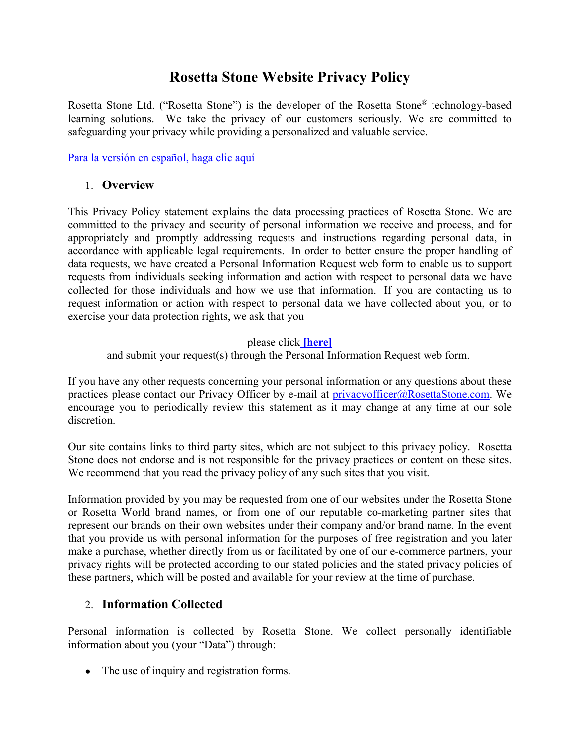# **Rosetta Stone Website Privacy Policy**

Rosetta Stone Ltd. ("Rosetta Stone") is the developer of the Rosetta Stone® technology-based learning solutions. We take the privacy of our customers seriously. We are committed to safeguarding your privacy while providing a personalized and valuable service.

[Para la versión en español, haga clic aquí](#page-6-0)

#### 1. **Overview**

This Privacy Policy statement explains the data processing practices of Rosetta Stone. We are committed to the privacy and security of personal information we receive and process, and for appropriately and promptly addressing requests and instructions regarding personal data, in accordance with applicable legal requirements. In order to better ensure the proper handling of data requests, we have created a Personal Information Request web form to enable us to support requests from individuals seeking information and action with respect to personal data we have collected for those individuals and how we use that information. If you are contacting us to request information or action with respect to personal data we have collected about you, or to exercise your data protection rights, we ask that you

#### please click **[\[here\]](https://privacyportal-cdn.onetrust.com/dsarwebform/27aac3ab-c36e-4457-81d4-9773ba27887e/f1e6ce28-8f84-4cae-9bdd-bc40113d5ee0.html)**

and submit your request(s) through the Personal Information Request web form.

If you have any other requests concerning your personal information or any questions about these practices please contact our Privacy Officer by e-mail at [privacyofficer@RosettaStone.com.](mailto:privacyofficer@RosettaStone.com) We encourage you to periodically review this statement as it may change at any time at our sole discretion.

Our site contains links to third party sites, which are not subject to this privacy policy. Rosetta Stone does not endorse and is not responsible for the privacy practices or content on these sites. We recommend that you read the privacy policy of any such sites that you visit.

Information provided by you may be requested from one of our websites under the Rosetta Stone or Rosetta World brand names, or from one of our reputable co-marketing partner sites that represent our brands on their own websites under their company and/or brand name. In the event that you provide us with personal information for the purposes of free registration and you later make a purchase, whether directly from us or facilitated by one of our e-commerce partners, your privacy rights will be protected according to our stated policies and the stated privacy policies of these partners, which will be posted and available for your review at the time of purchase.

### 2. **Information Collected**

Personal information is collected by Rosetta Stone. We collect personally identifiable information about you (your "Data") through:

• The use of inquiry and registration forms.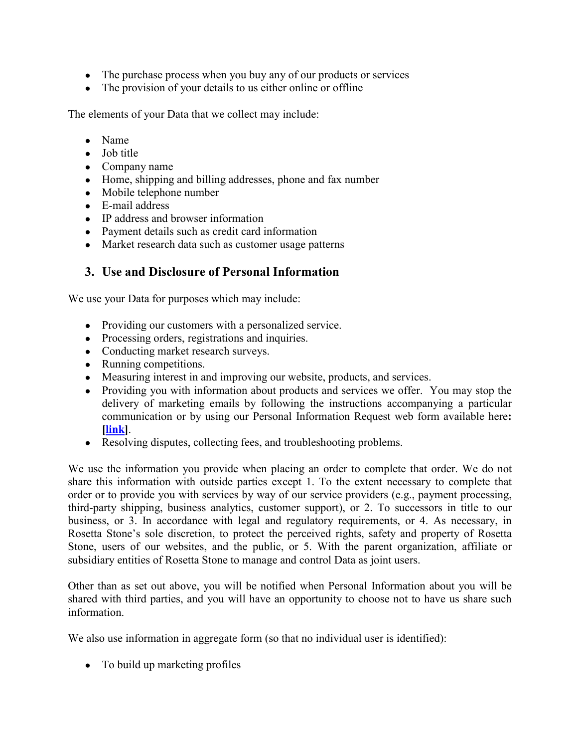- The purchase process when you buy any of our products or services
- The provision of your details to us either online or offline

The elements of your Data that we collect may include:

- Name
- Job title
- Company name
- Home, shipping and billing addresses, phone and fax number
- Mobile telephone number
- E-mail address
- IP address and browser information
- Payment details such as credit card information
- Market research data such as customer usage patterns

#### **3. Use and Disclosure of Personal Information**

We use your Data for purposes which may include:

- Providing our customers with a personalized service.
- Processing orders, registrations and inquiries.
- Conducting market research surveys.
- Running competitions.
- Measuring interest in and improving our website, products, and services.
- Providing you with information about products and services we offer. You may stop the delivery of marketing emails by following the instructions accompanying a particular communication or by using our Personal Information Request web form available here**: [\[link\]](https://privacyportal-cdn.onetrust.com/dsarwebform/27aac3ab-c36e-4457-81d4-9773ba27887e/f1e6ce28-8f84-4cae-9bdd-bc40113d5ee0.html)**.
- Resolving disputes, collecting fees, and troubleshooting problems.

We use the information you provide when placing an order to complete that order. We do not share this information with outside parties except 1. To the extent necessary to complete that order or to provide you with services by way of our service providers (e.g., payment processing, third-party shipping, business analytics, customer support), or 2. To successors in title to our business, or 3. In accordance with legal and regulatory requirements, or 4. As necessary, in Rosetta Stone's sole discretion, to protect the perceived rights, safety and property of Rosetta Stone, users of our websites, and the public, or 5. With the parent organization, affiliate or subsidiary entities of Rosetta Stone to manage and control Data as joint users.

Other than as set out above, you will be notified when Personal Information about you will be shared with third parties, and you will have an opportunity to choose not to have us share such information.

We also use information in aggregate form (so that no individual user is identified):

• To build up marketing profiles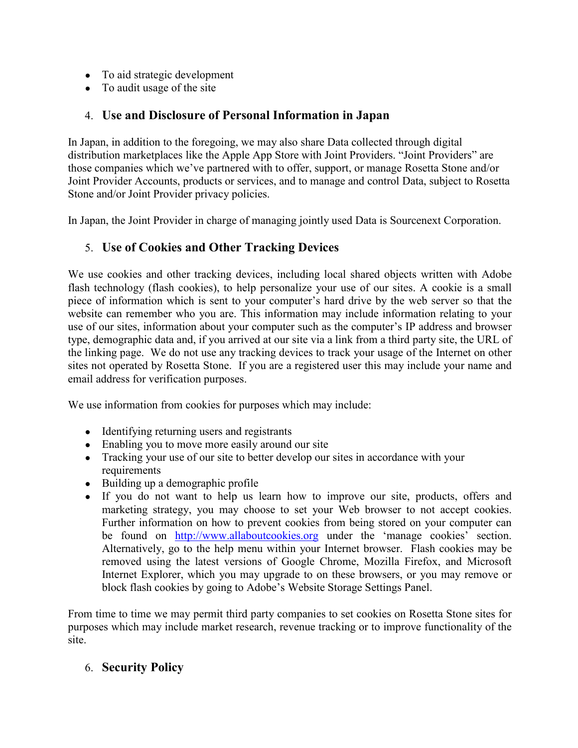- To aid strategic development
- To audit usage of the site

# 4. **Use and Disclosure of Personal Information in Japan**

In Japan, in addition to the foregoing, we may also share Data collected through digital distribution marketplaces like the Apple App Store with Joint Providers. "Joint Providers" are those companies which we've partnered with to offer, support, or manage Rosetta Stone and/or Joint Provider Accounts, products or services, and to manage and control Data, subject to Rosetta Stone and/or Joint Provider privacy policies.

In Japan, the Joint Provider in charge of managing jointly used Data is Sourcenext Corporation.

### 5. **Use of Cookies and Other Tracking Devices**

We use cookies and other tracking devices, including local shared objects written with Adobe flash technology (flash cookies), to help personalize your use of our sites. A cookie is a small piece of information which is sent to your computer's hard drive by the web server so that the website can remember who you are. This information may include information relating to your use of our sites, information about your computer such as the computer's IP address and browser type, demographic data and, if you arrived at our site via a link from a third party site, the URL of the linking page. We do not use any tracking devices to track your usage of the Internet on other sites not operated by Rosetta Stone. If you are a registered user this may include your name and email address for verification purposes.

We use information from cookies for purposes which may include:

- Identifying returning users and registrants
- Enabling you to move more easily around our site
- Tracking your use of our site to better develop our sites in accordance with your requirements
- Building up a demographic profile
- If you do not want to help us learn how to improve our site, products, offers and marketing strategy, you may choose to set your Web browser to not accept cookies. Further information on how to prevent cookies from being stored on your computer can be found on [http://www.allaboutcookies.org](http://www.allaboutcookies.org/) under the 'manage cookies' section. Alternatively, go to the help menu within your Internet browser. Flash cookies may be removed using the latest versions of Google Chrome, Mozilla Firefox, and Microsoft Internet Explorer, which you may upgrade to on these browsers, or you may remove or block flash cookies by going to Adobe's Website Storage Settings Panel.

From time to time we may permit third party companies to set cookies on Rosetta Stone sites for purposes which may include market research, revenue tracking or to improve functionality of the site.

### 6. **Security Policy**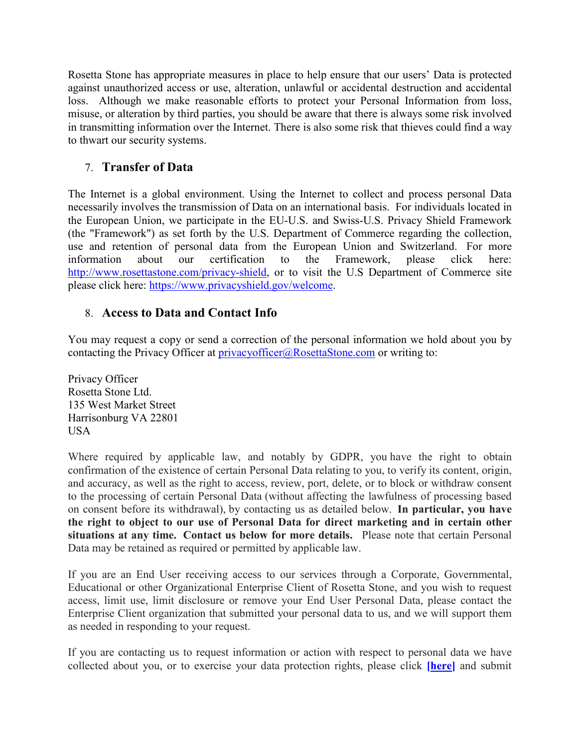Rosetta Stone has appropriate measures in place to help ensure that our users' Data is protected against unauthorized access or use, alteration, unlawful or accidental destruction and accidental loss. Although we make reasonable efforts to protect your Personal Information from loss, misuse, or alteration by third parties, you should be aware that there is always some risk involved in transmitting information over the Internet. There is also some risk that thieves could find a way to thwart our security systems.

# 7. **Transfer of Data**

The Internet is a global environment. Using the Internet to collect and process personal Data necessarily involves the transmission of Data on an international basis. For individuals located in the European Union, we participate in the EU-U.S. and Swiss-U.S. Privacy Shield Framework (the "Framework") as set forth by the U.S. Department of Commerce regarding the collection, use and retention of personal data from the European Union and Switzerland. For more information about our certification to the Framework, please click here: [http://www.rosettastone.com/privacy-shield,](http://www.rosettastone.com/privacy-shield) or to visit the U.S Department of Commerce site please click here: [https://www.privacyshield.gov/welcome.](https://www.privacyshield.gov/welcome)

### 8. **Access to Data and Contact Info**

You may request a copy or send a correction of the personal information we hold about you by contacting the Privacy Officer at [privacyofficer@RosettaStone.com](mailto:privacyofficer@RosettaStone.com) or writing to:

Privacy Officer Rosetta Stone Ltd. 135 West Market Street Harrisonburg VA 22801 USA

Where required by applicable law, and notably by GDPR, you have the right to obtain confirmation of the existence of certain Personal Data relating to you, to verify its content, origin, and accuracy, as well as the right to access, review, port, delete, or to block or withdraw consent to the processing of certain Personal Data (without affecting the lawfulness of processing based on consent before its withdrawal), by contacting us as detailed below. **In particular, you have the right to object to our use of Personal Data for direct marketing and in certain other situations at any time. Contact us below for more details.** Please note that certain Personal Data may be retained as required or permitted by applicable law.

If you are an End User receiving access to our services through a Corporate, Governmental, Educational or other Organizational Enterprise Client of Rosetta Stone, and you wish to request access, limit use, limit disclosure or remove your End User Personal Data, please contact the Enterprise Client organization that submitted your personal data to us, and we will support them as needed in responding to your request.

If you are contacting us to request information or action with respect to personal data we have collected about you, or to exercise your data protection rights, please click **[\[here\]](https://privacyportal-cdn.onetrust.com/dsarwebform/27aac3ab-c36e-4457-81d4-9773ba27887e/f1e6ce28-8f84-4cae-9bdd-bc40113d5ee0.html)** and submit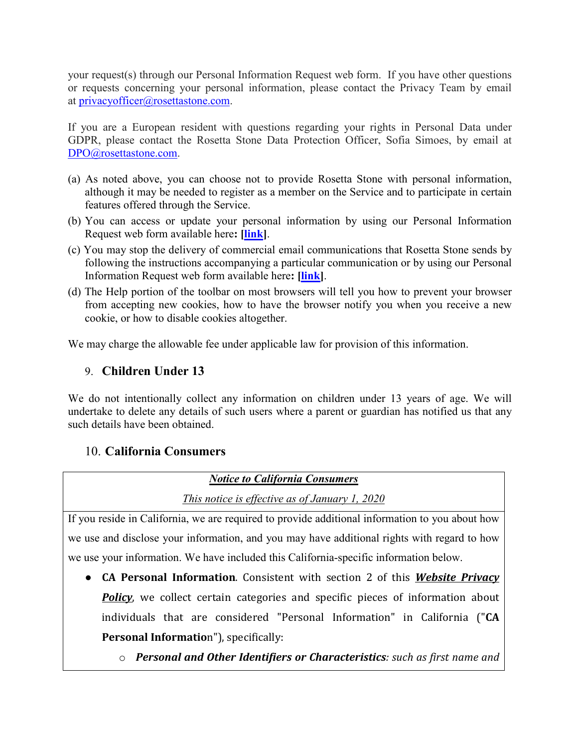your request(s) through our Personal Information Request web form. If you have other questions or requests concerning your personal information, please contact the Privacy Team by email at [privacyofficer@rosettastone.com.](mailto:privacyofficer@rosettastone.com)

If you are a European resident with questions regarding your rights in Personal Data under GDPR, please contact the Rosetta Stone Data Protection Officer, Sofia Simoes, by email at [DPO@rosettastone.com.](mailto:DPO@rosettastone.com)

- (a) As noted above, you can choose not to provide Rosetta Stone with personal information, although it may be needed to register as a member on the Service and to participate in certain features offered through the Service.
- (b) You can access or update your personal information by using our Personal Information Request web form available here**: [\[link\]](https://privacyportal-cdn.onetrust.com/dsarwebform/27aac3ab-c36e-4457-81d4-9773ba27887e/f1e6ce28-8f84-4cae-9bdd-bc40113d5ee0.html)**.
- (c) You may stop the delivery of commercial email communications that Rosetta Stone sends by following the instructions accompanying a particular communication or by using our Personal Information Request web form available here**: [\[link\]](https://privacyportal-cdn.onetrust.com/dsarwebform/27aac3ab-c36e-4457-81d4-9773ba27887e/f1e6ce28-8f84-4cae-9bdd-bc40113d5ee0.html)**.
- (d) The Help portion of the toolbar on most browsers will tell you how to prevent your browser from accepting new cookies, how to have the browser notify you when you receive a new cookie, or how to disable cookies altogether.

We may charge the allowable fee under applicable law for provision of this information.

# 9. **Children Under 13**

We do not intentionally collect any information on children under 13 years of age. We will undertake to delete any details of such users where a parent or guardian has notified us that any such details have been obtained.

### 10. **California Consumers**

#### *Notice to California Consumers*

*This notice is effective as of January 1, 2020*

If you reside in California, we are required to provide additional information to you about how we use and disclose your information, and you may have additional rights with regard to how we use your information. We have included this California-specific information below.

- **CA Personal Information**. Consistent with section 2 of this *Website Privacy*  **Policy**, we collect certain categories and specific pieces of information about individuals that are considered "Personal Information" in California ("**CA Personal Informatio**n"), specifically:
	- o *Personal and Other Identifiers or Characteristics: such as first name and*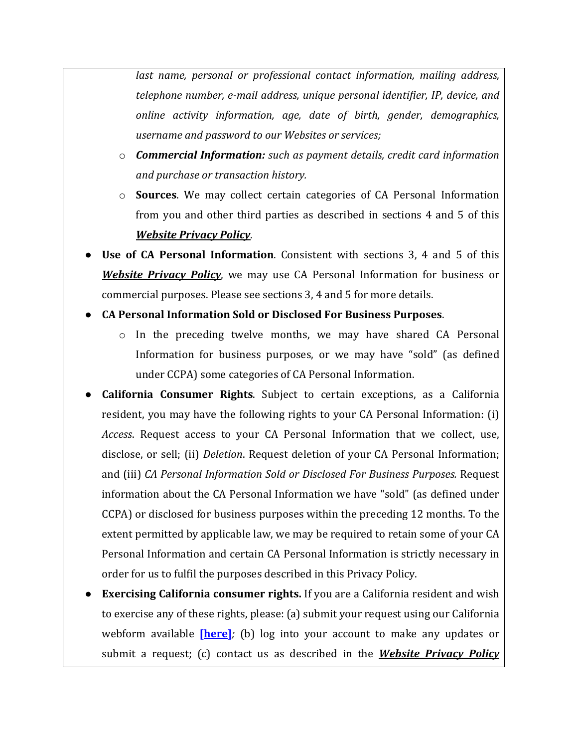*last name, personal or professional contact information, mailing address, telephone number, e-mail address, unique personal identifier, IP, device, and online activity information, age, date of birth, gender, demographics, username and password to our Websites or services;*

- o *Commercial Information: such as payment details, credit card information and purchase or transaction history.*
- o **Sources**. We may collect certain categories of CA Personal Information from you and other third parties as described in sections 4 and 5 of this *Website Privacy Policy*.
- **Use of CA Personal Information**. Consistent with sections 3, 4 and 5 of this *Website Privacy Policy*, we may use CA Personal Information for business or commercial purposes. Please see sections 3, 4 and 5 for more details.
- **CA Personal Information Sold or Disclosed For Business Purposes**.
	- $\circ$  In the preceding twelve months, we may have shared CA Personal Information for business purposes, or we may have "sold" (as defined under CCPA) some categories of CA Personal Information.
- **California Consumer Rights.** Subject to certain exceptions, as a California resident, you may have the following rights to your CA Personal Information: (i) *Access*. Request access to your CA Personal Information that we collect, use, disclose, or sell; (ii) *Deletion*. Request deletion of your CA Personal Information; and (iii) *CA Personal Information Sold or Disclosed For Business Purposes.* Request information about the CA Personal Information we have "sold" (as defined under CCPA) or disclosed for business purposes within the preceding 12 months. To the extent permitted by applicable law, we may be required to retain some of your CA Personal Information and certain CA Personal Information is strictly necessary in order for us to fulfil the purposes described in this Privacy Policy.
- **Exercising California consumer rights.** If you are a California resident and wish to exercise any of these rights, please: (a) submit your request using our California webform available **[\[here\]](https://privacyportal-cdn.onetrust.com/dsarwebform/27aac3ab-c36e-4457-81d4-9773ba27887e/a4611d02-cd40-4c80-8efb-af97324e0cc4.html)***;* (b) log into your account to make any updates or submit a request; (c) contact us as described in the *Website Privacy Policy*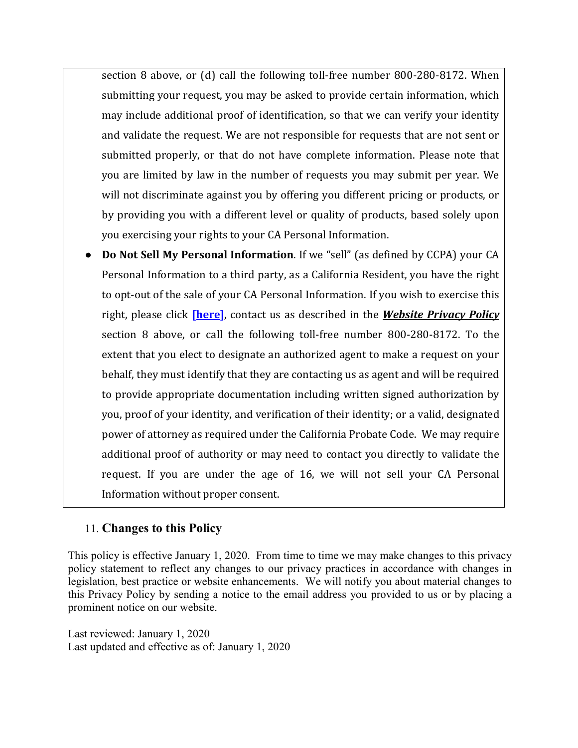section 8 above, or (d) call the following toll-free number 800-280-8172. When submitting your request, you may be asked to provide certain information, which may include additional proof of identification, so that we can verify your identity and validate the request. We are not responsible for requests that are not sent or submitted properly, or that do not have complete information. Please note that you are limited by law in the number of requests you may submit per year. We will not discriminate against you by offering you different pricing or products, or by providing you with a different level or quality of products, based solely upon you exercising your rights to your CA Personal Information.

**Do Not Sell My Personal Information.** If we "sell" (as defined by CCPA) your CA Personal Information to a third party, as a California Resident, you have the right to opt-out of the sale of your CA Personal Information. If you wish to exercise this right, please click **[\[here\]](https://www.rosettastone.com/lp/ccpa/)**, contact us as described in the *Website Privacy Policy* section 8 above, or call the following toll-free number 800-280-8172. To the extent that you elect to designate an authorized agent to make a request on your behalf, they must identify that they are contacting us as agent and will be required to provide appropriate documentation including written signed authorization by you, proof of your identity, and verification of their identity; or a valid, designated power of attorney as required under the California Probate Code. We may require additional proof of authority or may need to contact you directly to validate the request. If you are under the age of 16, we will not sell your CA Personal Information without proper consent.

### 11. **Changes to this Policy**

This policy is effective January 1, 2020. From time to time we may make changes to this privacy policy statement to reflect any changes to our privacy practices in accordance with changes in legislation, best practice or website enhancements. We will notify you about material changes to this Privacy Policy by sending a notice to the email address you provided to us or by placing a prominent notice on our website.

<span id="page-6-0"></span>Last reviewed: January 1, 2020 Last updated and effective as of: January 1, 2020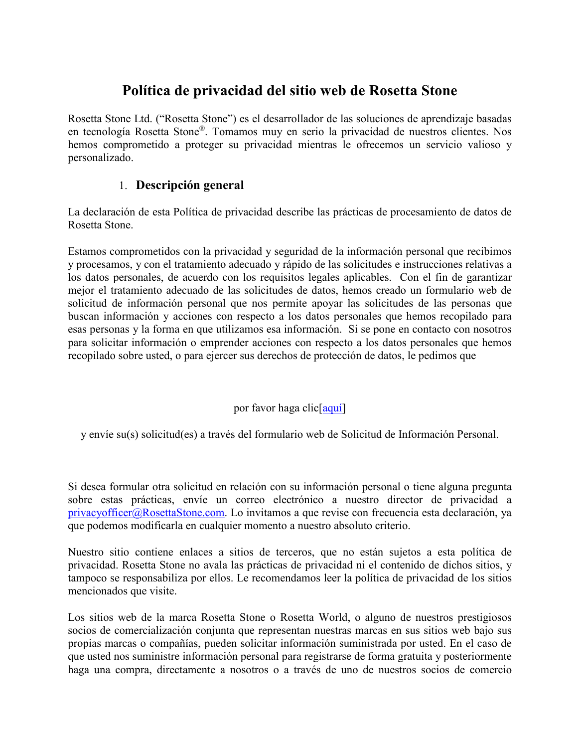# **Política de privacidad del sitio web de Rosetta Stone**

Rosetta Stone Ltd. ("Rosetta Stone") es el desarrollador de las soluciones de aprendizaje basadas en tecnología Rosetta Stone®. Tomamos muy en serio la privacidad de nuestros clientes. Nos hemos comprometido a proteger su privacidad mientras le ofrecemos un servicio valioso y personalizado.

## 1. **Descripción general**

La declaración de esta Política de privacidad describe las prácticas de procesamiento de datos de Rosetta Stone.

Estamos comprometidos con la privacidad y seguridad de la información personal que recibimos y procesamos, y con el tratamiento adecuado y rápido de las solicitudes e instrucciones relativas a los datos personales, de acuerdo con los requisitos legales aplicables. Con el fin de garantizar mejor el tratamiento adecuado de las solicitudes de datos, hemos creado un formulario web de solicitud de información personal que nos permite apoyar las solicitudes de las personas que buscan información y acciones con respecto a los datos personales que hemos recopilado para esas personas y la forma en que utilizamos esa información. Si se pone en contacto con nosotros para solicitar información o emprender acciones con respecto a los datos personales que hemos recopilado sobre usted, o para ejercer sus derechos de protección de datos, le pedimos que

#### por favor haga clic[\[aquí\]](https://privacyportal-cdn.onetrust.com/dsarwebform/27aac3ab-c36e-4457-81d4-9773ba27887e/f1e6ce28-8f84-4cae-9bdd-bc40113d5ee0.html)

y envíe su(s) solicitud(es) a través del formulario web de Solicitud de Información Personal.

Si desea formular otra solicitud en relación con su información personal o tiene alguna pregunta sobre estas prácticas, envíe un correo electrónico a nuestro director de privacidad a [privacyofficer@RosettaStone.com.](mailto:privacyofficer@RosettaStone.com) Lo invitamos a que revise con frecuencia esta declaración, ya que podemos modificarla en cualquier momento a nuestro absoluto criterio.

Nuestro sitio contiene enlaces a sitios de terceros, que no están sujetos a esta política de privacidad. Rosetta Stone no avala las prácticas de privacidad ni el contenido de dichos sitios, y tampoco se responsabiliza por ellos. Le recomendamos leer la política de privacidad de los sitios mencionados que visite.

Los sitios web de la marca Rosetta Stone o Rosetta World, o alguno de nuestros prestigiosos socios de comercialización conjunta que representan nuestras marcas en sus sitios web bajo sus propias marcas o compañías, pueden solicitar información suministrada por usted. En el caso de que usted nos suministre información personal para registrarse de forma gratuita y posteriormente haga una compra, directamente a nosotros o a través de uno de nuestros socios de comercio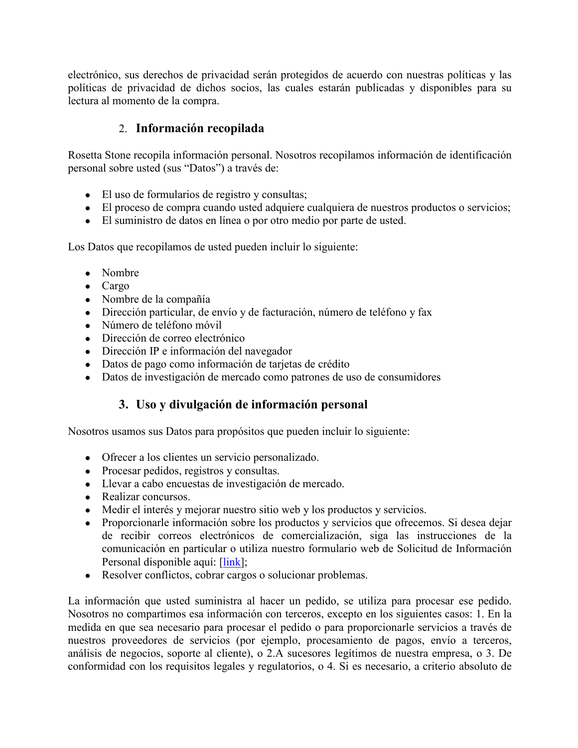electrónico, sus derechos de privacidad serán protegidos de acuerdo con nuestras políticas y las políticas de privacidad de dichos socios, las cuales estarán publicadas y disponibles para su lectura al momento de la compra.

## 2. **Información recopilada**

Rosetta Stone recopila información personal. Nosotros recopilamos información de identificación personal sobre usted (sus "Datos") a través de:

- El uso de formularios de registro y consultas;
- El proceso de compra cuando usted adquiere cualquiera de nuestros productos o servicios;
- El suministro de datos en línea o por otro medio por parte de usted.

Los Datos que recopilamos de usted pueden incluir lo siguiente:

- Nombre
- Cargo
- Nombre de la compañía
- Dirección particular, de envío y de facturación, número de teléfono y fax
- Número de teléfono móvil
- Dirección de correo electrónico
- Dirección IP e información del navegador
- Datos de pago como información de tarjetas de crédito
- Datos de investigación de mercado como patrones de uso de consumidores

# **3. Uso y divulgación de información personal**

Nosotros usamos sus Datos para propósitos que pueden incluir lo siguiente:

- Ofrecer a los clientes un servicio personalizado.
- Procesar pedidos, registros y consultas.
- Llevar a cabo encuestas de investigación de mercado.
- Realizar concursos.
- Medir el interés y mejorar nuestro sitio web y los productos y servicios.
- Proporcionarle información sobre los productos y servicios que ofrecemos. Si desea dejar de recibir correos electrónicos de comercialización, siga las instrucciones de la comunicación en particular o utiliza nuestro formulario web de Solicitud de Información Personal disponible aquí: [\[link\]](https://privacyportal-cdn.onetrust.com/dsarwebform/27aac3ab-c36e-4457-81d4-9773ba27887e/f1e6ce28-8f84-4cae-9bdd-bc40113d5ee0.html);
- Resolver conflictos, cobrar cargos o solucionar problemas.

La información que usted suministra al hacer un pedido, se utiliza para procesar ese pedido. Nosotros no compartimos esa información con terceros, excepto en los siguientes casos: 1. En la medida en que sea necesario para procesar el pedido o para proporcionarle servicios a través de nuestros proveedores de servicios (por ejemplo, procesamiento de pagos, envío a terceros, análisis de negocios, soporte al cliente), o 2.A sucesores legítimos de nuestra empresa, o 3. De conformidad con los requisitos legales y regulatorios, o 4. Si es necesario, a criterio absoluto de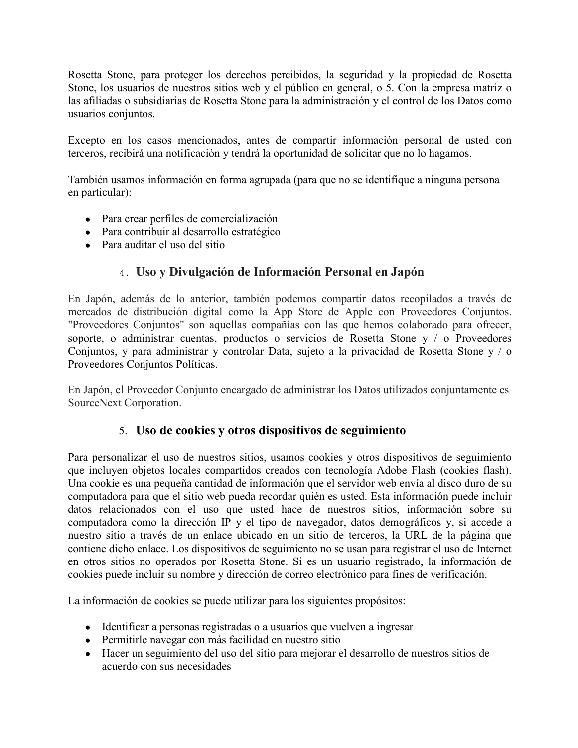Rosetta Stone, para proteger los derechos percibidos, la seguridad y la propiedad de Rosetta Stone, los usuarios de nuestros sitios web y el público en general, o 5. Con la empresa matriz o las afiliadas o subsidiarias de Rosetta Stone para la administración y el control de los Datos como usuarios conjuntos.

Excepto en los casos mencionados, antes de compartir información personal de usted con terceros, recibirá una notificación y tendrá la oportunidad de solicitar que no lo hagamos.

También usamos información en forma agrupada (para que no se identifique a ninguna persona en particular):

- Para crear perfiles de comercialización
- Para contribuir al desarrollo estratégico
- Para auditar el uso del sitio

# 4. **Uso y Divulgación de Información Personal en Japón**

En Japón, además de lo anterior, también podemos compartir datos recopilados a través de mercados de distribución digital como la App Store de Apple con Proveedores Conjuntos. "Proveedores Conjuntos" son aquellas compañías con las que hemos colaborado para ofrecer, soporte, o administrar cuentas, productos o servicios de Rosetta Stone y / o Proveedores Conjuntos, y para administrar y controlar Data, sujeto a la privacidad de Rosetta Stone y / o Proveedores Conjuntos Políticas.

En Japón, el Proveedor Conjunto encargado de administrar los Datos utilizados conjuntamente es SourceNext Corporation.

### 5. **Uso de cookies y otros dispositivos de seguimiento**

Para personalizar el uso de nuestros sitios, usamos cookies y otros dispositivos de seguimiento que incluyen objetos locales compartidos creados con tecnología Adobe Flash (cookies flash). Una cookie es una pequeña cantidad de información que el servidor web envía al disco duro de su computadora para que el sitio web pueda recordar quién es usted. Esta información puede incluir datos relacionados con el uso que usted hace de nuestros sitios, información sobre su computadora como la dirección IP y el tipo de navegador, datos demográficos y, si accede a nuestro sitio a través de un enlace ubicado en un sitio de terceros, la URL de la página que contiene dicho enlace. Los dispositivos de seguimiento no se usan para registrar el uso de Internet en otros sitios no operados por Rosetta Stone. Si es un usuario registrado, la información de cookies puede incluir su nombre y dirección de correo electrónico para fines de verificación.

La información de cookies se puede utilizar para los siguientes propósitos:

- Identificar a personas registradas o a usuarios que vuelven a ingresar
- Permitirle navegar con más facilidad en nuestro sitio
- Hacer un seguimiento del uso del sitio para mejorar el desarrollo de nuestros sitios de acuerdo con sus necesidades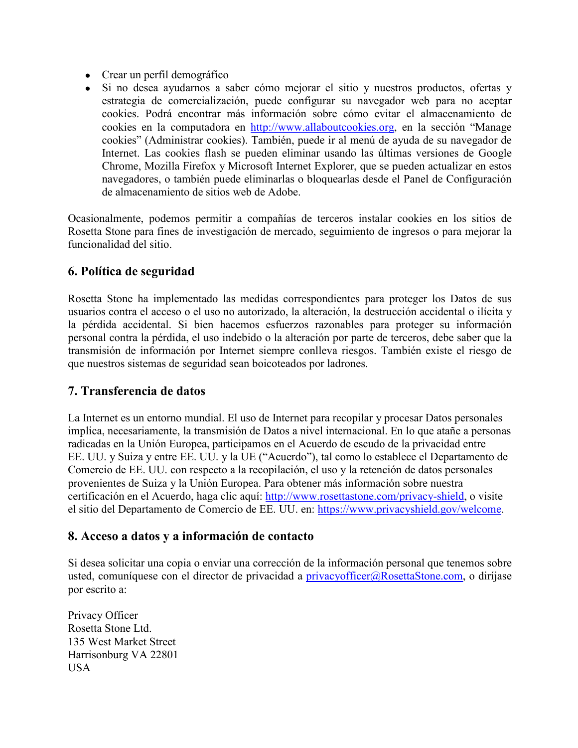- Crear un perfil demográfico
- Si no desea ayudarnos a saber cómo mejorar el sitio y nuestros productos, ofertas y estrategia de comercialización, puede configurar su navegador web para no aceptar cookies. Podrá encontrar más información sobre cómo evitar el almacenamiento de cookies en la computadora en [http://www.allaboutcookies.org,](http://www.allaboutcookies.org/) en la sección "Manage cookies" (Administrar cookies). También, puede ir al menú de ayuda de su navegador de Internet. Las cookies flash se pueden eliminar usando las últimas versiones de Google Chrome, Mozilla Firefox y Microsoft Internet Explorer, que se pueden actualizar en estos navegadores, o también puede eliminarlas o bloquearlas desde el Panel de Configuración de almacenamiento de sitios web de Adobe.

Ocasionalmente, podemos permitir a compañías de terceros instalar cookies en los sitios de Rosetta Stone para fines de investigación de mercado, seguimiento de ingresos o para mejorar la funcionalidad del sitio.

# **6. Política de seguridad**

Rosetta Stone ha implementado las medidas correspondientes para proteger los Datos de sus usuarios contra el acceso o el uso no autorizado, la alteración, la destrucción accidental o ilícita y la pérdida accidental. Si bien hacemos esfuerzos razonables para proteger su información personal contra la pérdida, el uso indebido o la alteración por parte de terceros, debe saber que la transmisión de información por Internet siempre conlleva riesgos. También existe el riesgo de que nuestros sistemas de seguridad sean boicoteados por ladrones.

### **7. Transferencia de datos**

La Internet es un entorno mundial. El uso de Internet para recopilar y procesar Datos personales implica, necesariamente, la transmisión de Datos a nivel internacional. En lo que atañe a personas radicadas en la Unión Europea, participamos en el Acuerdo de escudo de la privacidad entre EE. UU. y Suiza y entre EE. UU. y la UE ("Acuerdo"), tal como lo establece el Departamento de Comercio de EE. UU. con respecto a la recopilación, el uso y la retención de datos personales provenientes de Suiza y la Unión Europea. Para obtener más información sobre nuestra certificación en el Acuerdo, haga clic aquí: [http://www.rosettastone.com/privacy-shield,](http://www.rosettastone.com/privacy-shield) o visite el sitio del Departamento de Comercio de EE. UU. en: [https://www.privacyshield.gov/welcome.](https://www.privacyshield.gov/welcome)

### **8. Acceso a datos y a información de contacto**

Si desea solicitar una copia o enviar una corrección de la información personal que tenemos sobre usted, comuníquese con el director de privacidad a [privacyofficer@RosettaStone.com,](mailto:privacyofficer@RosettaStone.com) o diríjase por escrito a:

Privacy Officer Rosetta Stone Ltd. 135 West Market Street Harrisonburg VA 22801 USA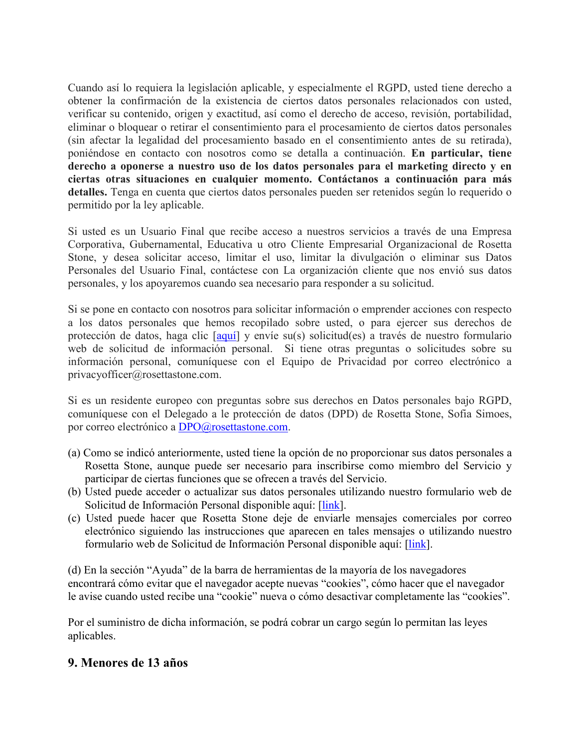Cuando así lo requiera la legislación aplicable, y especialmente el RGPD, usted tiene derecho a obtener la confirmación de la existencia de ciertos datos personales relacionados con usted, verificar su contenido, origen y exactitud, así como el derecho de acceso, revisión, portabilidad, eliminar o bloquear o retirar el consentimiento para el procesamiento de ciertos datos personales (sin afectar la legalidad del procesamiento basado en el consentimiento antes de su retirada), poniéndose en contacto con nosotros como se detalla a continuación. **En particular, tiene derecho a oponerse a nuestro uso de los datos personales para el marketing directo y en ciertas otras situaciones en cualquier momento. Contáctanos a continuación para más detalles.** Tenga en cuenta que ciertos datos personales pueden ser retenidos según lo requerido o permitido por la ley aplicable.

Si usted es un Usuario Final que recibe acceso a nuestros servicios a través de una Empresa Corporativa, Gubernamental, Educativa u otro Cliente Empresarial Organizacional de Rosetta Stone, y desea solicitar acceso, limitar el uso, limitar la divulgación o eliminar sus Datos Personales del Usuario Final, contáctese con La organización cliente que nos envió sus datos personales, y los apoyaremos cuando sea necesario para responder a su solicitud.

Si se pone en contacto con nosotros para solicitar información o emprender acciones con respecto a los datos personales que hemos recopilado sobre usted, o para ejercer sus derechos de protección de datos, haga clic [\[aquí\]](https://privacyportal-cdn.onetrust.com/dsarwebform/27aac3ab-c36e-4457-81d4-9773ba27887e/f1e6ce28-8f84-4cae-9bdd-bc40113d5ee0.html) y envíe su(s) solicitud(es) a través de nuestro formulario web de solicitud de información personal. Si tiene otras preguntas o solicitudes sobre su información personal, comuníquese con el Equipo de Privacidad por correo electrónico a privacyofficer@rosettastone.com.

Si es un residente europeo con preguntas sobre sus derechos en Datos personales bajo RGPD, comuníquese con el Delegado a le protección de datos (DPD) de Rosetta Stone, Sofia Simoes, por correo electrónico a [DPO@rosettastone.com.](mailto:DPO@rosettastone.com)

- (a) Como se indicó anteriormente, usted tiene la opción de no proporcionar sus datos personales a Rosetta Stone, aunque puede ser necesario para inscribirse como miembro del Servicio y participar de ciertas funciones que se ofrecen a través del Servicio.
- (b) Usted puede acceder o actualizar sus datos personales utilizando nuestro formulario web de Solicitud de Información Personal disponible aquí: [\[link\]](https://privacyportal-cdn.onetrust.com/dsarwebform/27aac3ab-c36e-4457-81d4-9773ba27887e/f1e6ce28-8f84-4cae-9bdd-bc40113d5ee0.html).
- (c) Usted puede hacer que Rosetta Stone deje de enviarle mensajes comerciales por correo electrónico siguiendo las instrucciones que aparecen en tales mensajes o utilizando nuestro formulario web de Solicitud de Información Personal disponible aquí: [\[link\]](https://privacyportal-cdn.onetrust.com/dsarwebform/27aac3ab-c36e-4457-81d4-9773ba27887e/f1e6ce28-8f84-4cae-9bdd-bc40113d5ee0.html).

(d) En la sección "Ayuda" de la barra de herramientas de la mayoría de los navegadores encontrará cómo evitar que el navegador acepte nuevas "cookies", cómo hacer que el navegador le avise cuando usted recibe una "cookie" nueva o cómo desactivar completamente las "cookies".

Por el suministro de dicha información, se podrá cobrar un cargo según lo permitan las leyes aplicables.

### **9. Menores de 13 años**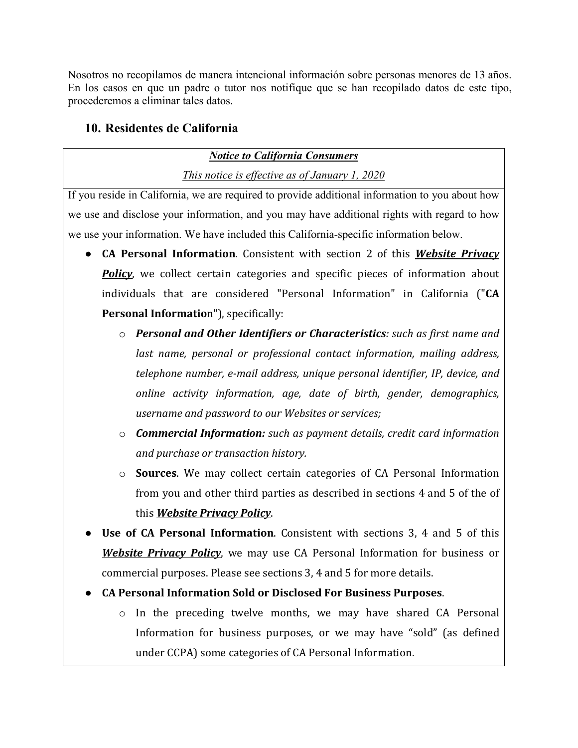Nosotros no recopilamos de manera intencional información sobre personas menores de 13 años. En los casos en que un padre o tutor nos notifique que se han recopilado datos de este tipo, procederemos a eliminar tales datos.

## **10. Residentes de California**

### *Notice to California Consumers*

*This notice is effective as of January 1, 2020*

If you reside in California, we are required to provide additional information to you about how we use and disclose your information, and you may have additional rights with regard to how we use your information. We have included this California-specific information below.

- **CA Personal Information**. Consistent with section 2 of this *Website Privacy Policy*, we collect certain categories and specific pieces of information about individuals that are considered "Personal Information" in California ("**CA Personal Informatio**n"), specifically:
	- o *Personal and Other Identifiers or Characteristics: such as first name and last name, personal or professional contact information, mailing address, telephone number, e-mail address, unique personal identifier, IP, device, and online activity information, age, date of birth, gender, demographics, username and password to our Websites or services;*
	- o *Commercial Information: such as payment details, credit card information and purchase or transaction history.*
	- o **Sources**. We may collect certain categories of CA Personal Information from you and other third parties as described in sections 4 and 5 of the of this *Website Privacy Policy*.
- **Use of CA Personal Information**. Consistent with sections 3, 4 and 5 of this *Website Privacy Policy*, we may use CA Personal Information for business or commercial purposes. Please see sections 3, 4 and 5 for more details.
- **CA Personal Information Sold or Disclosed For Business Purposes**.
	- o In the preceding twelve months, we may have shared CA Personal Information for business purposes, or we may have "sold" (as defined under CCPA) some categories of CA Personal Information.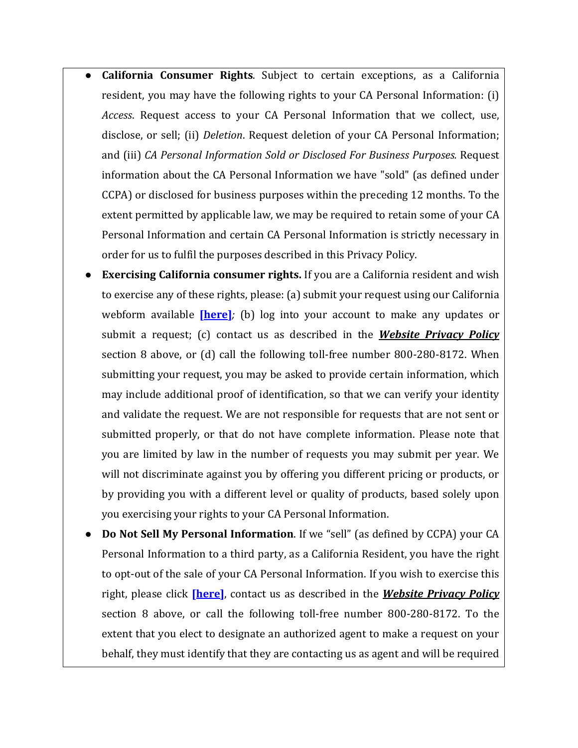- **California Consumer Rights**. Subject to certain exceptions, as a California resident, you may have the following rights to your CA Personal Information: (i) *Access*. Request access to your CA Personal Information that we collect, use, disclose, or sell; (ii) *Deletion*. Request deletion of your CA Personal Information; and (iii) *CA Personal Information Sold or Disclosed For Business Purposes.* Request information about the CA Personal Information we have "sold" (as defined under CCPA) or disclosed for business purposes within the preceding 12 months. To the extent permitted by applicable law, we may be required to retain some of your CA Personal Information and certain CA Personal Information is strictly necessary in order for us to fulfil the purposes described in this Privacy Policy.
- **Exercising California consumer rights.** If you are a California resident and wish to exercise any of these rights, please: (a) submit your request using our California webform available **[\[here\]](https://privacyportal-cdn.onetrust.com/dsarwebform/27aac3ab-c36e-4457-81d4-9773ba27887e/a4611d02-cd40-4c80-8efb-af97324e0cc4.html)***;* (b) log into your account to make any updates or submit a request; (c) contact us as described in the *Website Privacy Policy* section 8 above, or (d) call the following toll-free number 800-280-8172. When submitting your request, you may be asked to provide certain information, which may include additional proof of identification, so that we can verify your identity and validate the request. We are not responsible for requests that are not sent or submitted properly, or that do not have complete information. Please note that you are limited by law in the number of requests you may submit per year. We will not discriminate against you by offering you different pricing or products, or by providing you with a different level or quality of products, based solely upon you exercising your rights to your CA Personal Information.
- **Do Not Sell My Personal Information**. If we "sell" (as defined by CCPA) your CA Personal Information to a third party, as a California Resident, you have the right to opt-out of the sale of your CA Personal Information. If you wish to exercise this right, please click **[\[here\]](https://www.rosettastone.com/lp/ccpa/)**, contact us as described in the *Website Privacy Policy* section 8 above, or call the following toll-free number 800-280-8172. To the extent that you elect to designate an authorized agent to make a request on your behalf, they must identify that they are contacting us as agent and will be required